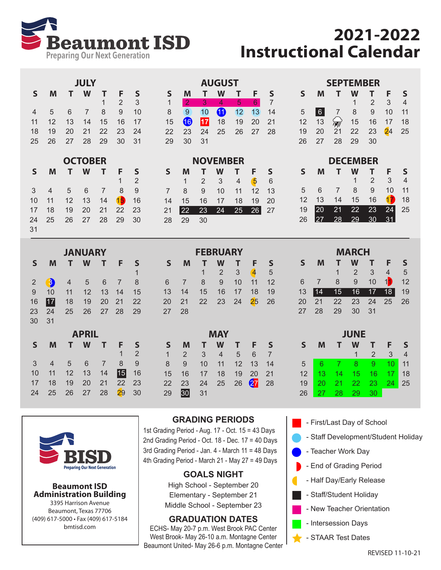

# **2021-2022 Instructional Calendar**

| <b>JULY</b> |    |    |                |                       |                |    |  |  |  |  |  |
|-------------|----|----|----------------|-----------------------|----------------|----|--|--|--|--|--|
| S           | м  | т. | W              | т                     | F.             | S  |  |  |  |  |  |
|             |    |    |                | $\blacktriangleright$ | $\overline{2}$ | 3  |  |  |  |  |  |
| 4           | 5  | 6  | $\overline{7}$ | 8.                    | 9              | 10 |  |  |  |  |  |
| 11          | 12 | 13 | 14             | 15                    | 16             | 17 |  |  |  |  |  |
| 18          | 19 | 20 | 21 22          |                       | - 23           | 24 |  |  |  |  |  |
| 25          | 26 | 27 | -28            | 29                    | 30             | 31 |  |  |  |  |  |

| <b>OCTOBER</b> |    |    |                 |    |                |    |                |  |  |  |  |
|----------------|----|----|-----------------|----|----------------|----|----------------|--|--|--|--|
|                | S  | м  | т               | F  | S              |    |                |  |  |  |  |
|                |    |    |                 |    |                | 1  | $\mathfrak{p}$ |  |  |  |  |
|                | 3  | 4  | 5               | 6  | $\overline{7}$ | 8  | 9              |  |  |  |  |
|                | 10 | 11 | 12 <sup>2</sup> | 13 | 14             | 15 | 16             |  |  |  |  |
|                | 17 | 18 | 19              | 20 | 21             | 22 | 23             |  |  |  |  |
|                | 24 | 25 | 26              | 27 | -28            | 29 | 30             |  |  |  |  |
|                | 31 |    |                 |    |                |    |                |  |  |  |  |

|                |              |    | <b>JANUARY</b> |                |    |                | <b>FEBRUARY</b> |    |    |                |    |    |    |
|----------------|--------------|----|----------------|----------------|----|----------------|-----------------|----|----|----------------|----|----|----|
| S              | M            |    | W              |                | F  | S              | S               | M  |    | W              |    | F  | S  |
|                |              |    |                |                |    | 1              |                 |    | 1  | $\overline{2}$ | 3  | 4  | 5  |
| $\overline{2}$ | $\mathbf{3}$ | 4  | 5              | 6              | 7  | 8              | 6               | 7  | 8  | 9              | 10 | 11 | 12 |
| 9              | 10           | 11 | 12             | 13             | 14 | 15             | 13              | 14 | 15 | 16             | 17 | 18 | 19 |
| 16             | 17           | 18 | 19             | 20             | 21 | 22             | 20              | 21 | 22 | 23             | 24 | 25 | 26 |
| 23             | 24           | 25 | 26             | 27             | 28 | 29             | 27              | 28 |    |                |    |    |    |
| 30             | 31           |    |                |                |    |                |                 |    |    |                |    |    |    |
|                |              |    | <b>APRIL</b>   |                |    |                |                 |    |    | <b>MAY</b>     |    |    |    |
| S              | M            |    | W              |                | F  | S              | S               | M  |    | W              |    | F  | S  |
|                |              |    |                |                | 1  | $\overline{2}$ | $\mathbf{1}$    | 2  | 3  | 4              | 5  | 6  | 7  |
| 3              | 4            | 5  | 6              | $\overline{7}$ | 8  | 9              | 8               | 9  | 10 | 11             | 12 | 13 | 14 |
| 10             | 11           | 12 | 13             | 14             | 15 | 16             | 15              | 16 | 17 | 18             | 19 | 20 | 21 |
| 17             | 18           | 19 | 20             | 21             | 22 | 23             | 22              | 23 | 24 | 25             | 26 | 27 | 28 |
| 24             | 25           | 26 | 27             | 28             | 29 | 30             | 29              | 30 | 31 |                |    |    |    |



#### **Beaumont ISD Administration Building**

3395 Harrison Avenue Beaumont, Texas 77706 (409) 617-5000 • Fax (409) 617-5184 bmtisd.com

#### **GRADING PERIODS**

 2 3 4 5 6 8 9 10 11 12 13 15 16 17 18 19 20 22 23 24 25 26 27

**NOVEMBER S M T W T F S**

**AUGUST S M T W T F S**

1 <mark>2 3 4 5 6</mark> 7 9 10 11 12 13 14 16 **17** 18 19 20 21 23 24 25 26 27 28

28 29 30

29 30 31

1st Grading Period - Aug. 17 - Oct. 15 = 43 Days 2nd Grading Period - Oct. 18 - Dec. 17 = 40 Days 3rd Grading Period - Jan. 4 - March 11 = 48 Days 4th Grading Period - March 21 - May 27 = 49 Days

## **GOALS NIGHT**

High School - September 20 Elementary - September 21 Middle School - September 23

## **GRADUATION DATES**

ECHS- May 20-7 p.m. West Brook PAC Center West Brook- May 26-10 a.m. Montagne Center Beaumont United- May 26-6 p.m. Montagne Center

| <b>SEPTEMBER</b> |    |                 |    |                     |         |                |  |  |  |  |  |  |
|------------------|----|-----------------|----|---------------------|---------|----------------|--|--|--|--|--|--|
| ς                |    | $\mathbf{T}$    |    |                     | S<br>F. |                |  |  |  |  |  |  |
|                  |    |                 | 1  | $\overline{2}$      | - 3     | $\overline{4}$ |  |  |  |  |  |  |
| 5 <sup>5</sup>   |    | 6 7 8 9         |    |                     | 10      | 11             |  |  |  |  |  |  |
| 12 <sup>12</sup> | 13 |                 |    | $\sqrt{7}$ 15 16 17 |         | 18             |  |  |  |  |  |  |
| 19               | 20 | $\overline{21}$ |    | 22 23               |         | $24$ 25        |  |  |  |  |  |  |
| 26               | 27 | -28             | 29 | 30                  |         |                |  |  |  |  |  |  |
|                  |    |                 |    |                     |         |                |  |  |  |  |  |  |

| <b>DECEMBER</b> |    |    |    |    |    |    |  |  |  |  |  |
|-----------------|----|----|----|----|----|----|--|--|--|--|--|
| S               | м  | F  | S  |    |    |    |  |  |  |  |  |
|                 |    |    | 1. | 2  | 3  | 4  |  |  |  |  |  |
| 5               | 6  |    | 8  | 9  | 10 | 11 |  |  |  |  |  |
| 12              | 13 | 14 | 15 | 16 |    | 18 |  |  |  |  |  |
| 19              | 20 | 21 | 22 | 23 | 24 | 25 |  |  |  |  |  |
| 26              |    |    |    |    |    |    |  |  |  |  |  |

| <b>MARCH</b> |                      |    |    |    |                |  |  |  |  |  |  |
|--------------|----------------------|----|----|----|----------------|--|--|--|--|--|--|
| M            | т                    | W  | т  | F  | S              |  |  |  |  |  |  |
|              | $\ddot{\phantom{1}}$ | 2  | 3  | 4  | $\overline{5}$ |  |  |  |  |  |  |
| 7            | 8                    | 9  | 10 | 10 | 12             |  |  |  |  |  |  |
| 14           | 15                   | 16 | 17 | 18 | 19             |  |  |  |  |  |  |
| 21           | 22                   | 23 | 24 | 25 | 26             |  |  |  |  |  |  |
| 28           | 29                   | 30 | 31 |    |                |  |  |  |  |  |  |
|              |                      |    |    |    |                |  |  |  |  |  |  |

|    | JUNE |              |       |               |    |    |  |  |  |  |  |  |
|----|------|--------------|-------|---------------|----|----|--|--|--|--|--|--|
| ς  | M    | т            |       | т             | F  | S  |  |  |  |  |  |  |
|    |      |              | 1     | $\mathcal{P}$ | 3  | 4  |  |  |  |  |  |  |
| 5  | հ    | $\mathbf{7}$ | 8     | 9             | 10 | 11 |  |  |  |  |  |  |
| 12 | 13   | 14           | 15    | 16            | 17 | 18 |  |  |  |  |  |  |
| 19 | 20   | 21           | $-22$ | 23            | 24 | 25 |  |  |  |  |  |  |
| 26 |      | 28           | 29    | 30            |    |    |  |  |  |  |  |  |

- First/Last Day of School
- Staff Development/Student Holiday
- Teacher Work Day
- End of Grading Period
- Half Day/Early Release
- Staff/Student Holiday
- New Teacher Orientation
- Intersession Days
- STAAR Test Dates